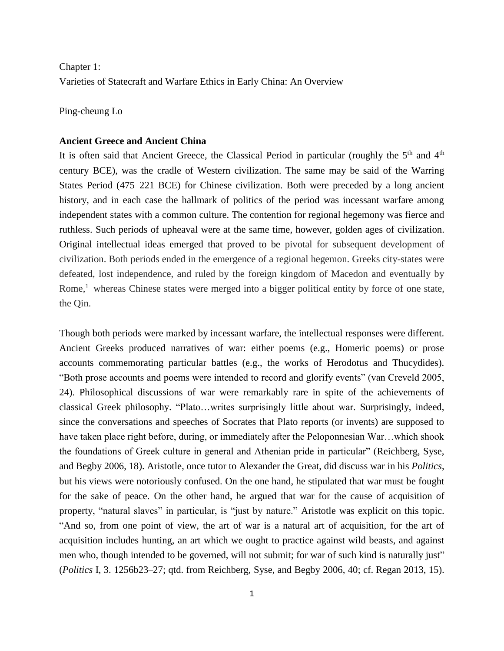Chapter 1: Varieties of Statecraft and Warfare Ethics in Early China: An Overview

Ping-cheung Lo

### **Ancient Greece and Ancient China**

It is often said that Ancient Greece, the Classical Period in particular (roughly the 5<sup>th</sup> and 4<sup>th</sup> century BCE), was the cradle of Western civilization. The same may be said of the Warring States Period (475–221 BCE) for Chinese civilization. Both were preceded by a long ancient history, and in each case the hallmark of politics of the period was incessant warfare among independent states with a common culture. The contention for regional hegemony was fierce and ruthless. Such periods of upheaval were at the same time, however, golden ages of civilization. Original intellectual ideas emerged that proved to be pivotal for subsequent development of civilization. Both periods ended in the emergence of a regional hegemon. Greeks city-states were defeated, lost independence, and ruled by the foreign kingdom of Macedon and eventually by Rome, $<sup>1</sup>$  whereas Chinese states were merged into a bigger political entity by force of one state,</sup> the Qin.

Though both periods were marked by incessant warfare, the intellectual responses were different. Ancient Greeks produced narratives of war: either poems (e.g., Homeric poems) or prose accounts commemorating particular battles (e.g., the works of Herodotus and Thucydides). "Both prose accounts and poems were intended to record and glorify events" (van Creveld 2005, 24). Philosophical discussions of war were remarkably rare in spite of the achievements of classical Greek philosophy. "Plato…writes surprisingly little about war. Surprisingly, indeed, since the conversations and speeches of Socrates that Plato reports (or invents) are supposed to have taken place right before, during, or immediately after the Peloponnesian War...which shook the foundations of Greek culture in general and Athenian pride in particular" (Reichberg, Syse, and Begby 2006, 18). Aristotle, once tutor to Alexander the Great, did discuss war in his *Politics*, but his views were notoriously confused. On the one hand, he stipulated that war must be fought for the sake of peace. On the other hand, he argued that war for the cause of acquisition of property, "natural slaves" in particular, is "just by nature." Aristotle was explicit on this topic. "And so, from one point of view, the art of war is a natural art of acquisition, for the art of acquisition includes hunting, an art which we ought to practice against wild beasts, and against men who, though intended to be governed, will not submit; for war of such kind is naturally just" (*Politics* I, 3. 1256b23–27; qtd. from Reichberg, Syse, and Begby 2006, 40; cf. Regan 2013, 15).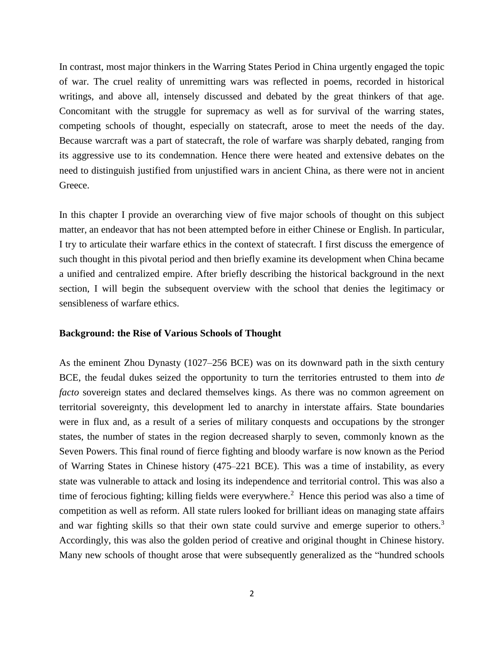In contrast, most major thinkers in the Warring States Period in China urgently engaged the topic of war. The cruel reality of unremitting wars was reflected in poems, recorded in historical writings, and above all, intensely discussed and debated by the great thinkers of that age. Concomitant with the struggle for supremacy as well as for survival of the warring states, competing schools of thought, especially on statecraft, arose to meet the needs of the day. Because warcraft was a part of statecraft, the role of warfare was sharply debated, ranging from its aggressive use to its condemnation. Hence there were heated and extensive debates on the need to distinguish justified from unjustified wars in ancient China, as there were not in ancient Greece.

In this chapter I provide an overarching view of five major schools of thought on this subject matter, an endeavor that has not been attempted before in either Chinese or English. In particular, I try to articulate their warfare ethics in the context of statecraft. I first discuss the emergence of such thought in this pivotal period and then briefly examine its development when China became a unified and centralized empire. After briefly describing the historical background in the next section, I will begin the subsequent overview with the school that denies the legitimacy or sensibleness of warfare ethics.

## **Background: the Rise of Various Schools of Thought**

As the eminent Zhou Dynasty (1027–256 BCE) was on its downward path in the sixth century BCE, the feudal dukes seized the opportunity to turn the territories entrusted to them into *de facto* sovereign states and declared themselves kings. As there was no common agreement on territorial sovereignty, this development led to anarchy in interstate affairs. State boundaries were in flux and, as a result of a series of military conquests and occupations by the stronger states, the number of states in the region decreased sharply to seven, commonly known as the Seven Powers. This final round of fierce fighting and bloody warfare is now known as the Period of Warring States in Chinese history (475–221 BCE). This was a time of instability, as every state was vulnerable to attack and losing its independence and territorial control. This was also a time of ferocious fighting; killing fields were everywhere.<sup>2</sup> Hence this period was also a time of competition as well as reform. All state rulers looked for brilliant ideas on managing state affairs and war fighting skills so that their own state could survive and emerge superior to others.<sup>3</sup> Accordingly, this was also the golden period of creative and original thought in Chinese history. Many new schools of thought arose that were subsequently generalized as the "hundred schools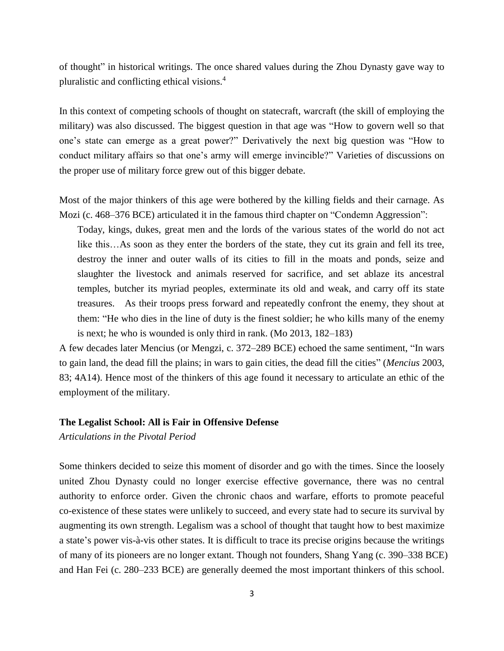of thought" in historical writings. The once shared values during the Zhou Dynasty gave way to pluralistic and conflicting ethical visions. 4

In this context of competing schools of thought on statecraft, warcraft (the skill of employing the military) was also discussed. The biggest question in that age was "How to govern well so that one's state can emerge as a great power?" Derivatively the next big question was "How to conduct military affairs so that one's army will emerge invincible?" Varieties of discussions on the proper use of military force grew out of this bigger debate.

Most of the major thinkers of this age were bothered by the killing fields and their carnage. As Mozi (c. 468–376 BCE) articulated it in the famous third chapter on "Condemn Aggression":

Today, kings, dukes, great men and the lords of the various states of the world do not act like this…As soon as they enter the borders of the state, they cut its grain and fell its tree, destroy the inner and outer walls of its cities to fill in the moats and ponds, seize and slaughter the livestock and animals reserved for sacrifice, and set ablaze its ancestral temples, butcher its myriad peoples, exterminate its old and weak, and carry off its state treasures. As their troops press forward and repeatedly confront the enemy, they shout at them: "He who dies in the line of duty is the finest soldier; he who kills many of the enemy is next; he who is wounded is only third in rank. (Mo 2013, 182–183)

A few decades later Mencius (or Mengzi, c. 372–289 BCE) echoed the same sentiment, "In wars to gain land, the dead fill the plains; in wars to gain cities, the dead fill the cities" (*Mencius* 2003, 83; 4A14). Hence most of the thinkers of this age found it necessary to articulate an ethic of the employment of the military.

### **The Legalist School: All is Fair in Offensive Defense**

*Articulations in the Pivotal Period*

Some thinkers decided to seize this moment of disorder and go with the times. Since the loosely united Zhou Dynasty could no longer exercise effective governance, there was no central authority to enforce order. Given the chronic chaos and warfare, efforts to promote peaceful co-existence of these states were unlikely to succeed, and every state had to secure its survival by augmenting its own strength. Legalism was a school of thought that taught how to best maximize a state's power vis-à-vis other states. It is difficult to trace its precise origins because the writings of many of its pioneers are no longer extant. Though not founders, Shang Yang (c. 390–338 BCE) and Han Fei (c. 280–233 BCE) are generally deemed the most important thinkers of this school.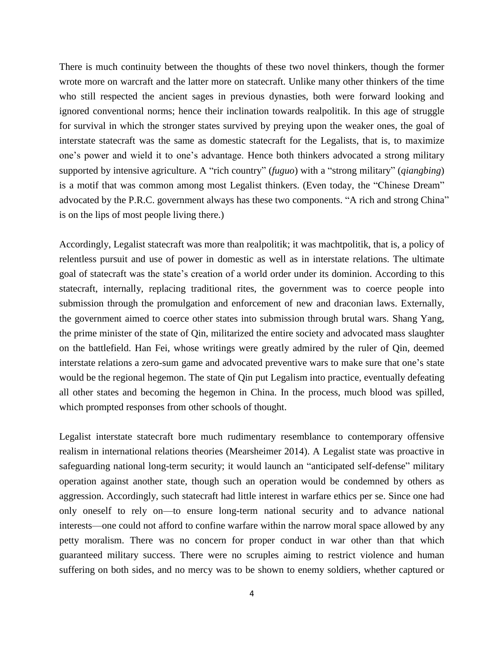There is much continuity between the thoughts of these two novel thinkers, though the former wrote more on warcraft and the latter more on statecraft. Unlike many other thinkers of the time who still respected the ancient sages in previous dynasties, both were forward looking and ignored conventional norms; hence their inclination towards realpolitik. In this age of struggle for survival in which the stronger states survived by preying upon the weaker ones, the goal of interstate statecraft was the same as domestic statecraft for the Legalists, that is, to maximize one's power and wield it to one's advantage. Hence both thinkers advocated a strong military supported by intensive agriculture. A "rich country" (*fuguo*) with a "strong military" (*qiangbing*) is a motif that was common among most Legalist thinkers. (Even today, the "Chinese Dream" advocated by the P.R.C. government always has these two components. "A rich and strong China" is on the lips of most people living there.)

Accordingly, Legalist statecraft was more than realpolitik; it was machtpolitik, that is, a policy of relentless pursuit and use of power in domestic as well as in interstate relations. The ultimate goal of statecraft was the state's creation of a world order under its dominion. According to this statecraft, internally, replacing traditional rites, the government was to coerce people into submission through the promulgation and enforcement of new and draconian laws. Externally, the government aimed to coerce other states into submission through brutal wars. Shang Yang, the prime minister of the state of Qin, militarized the entire society and advocated mass slaughter on the battlefield. Han Fei, whose writings were greatly admired by the ruler of Qin, deemed interstate relations a zero-sum game and advocated preventive wars to make sure that one's state would be the regional hegemon. The state of Qin put Legalism into practice, eventually defeating all other states and becoming the hegemon in China. In the process, much blood was spilled, which prompted responses from other schools of thought.

Legalist interstate statecraft bore much rudimentary resemblance to contemporary offensive realism in international relations theories (Mearsheimer 2014). A Legalist state was proactive in safeguarding national long-term security; it would launch an "anticipated self-defense" military operation against another state, though such an operation would be condemned by others as aggression. Accordingly, such statecraft had little interest in warfare ethics per se. Since one had only oneself to rely on—to ensure long-term national security and to advance national interests—one could not afford to confine warfare within the narrow moral space allowed by any petty moralism. There was no concern for proper conduct in war other than that which guaranteed military success. There were no scruples aiming to restrict violence and human suffering on both sides, and no mercy was to be shown to enemy soldiers, whether captured or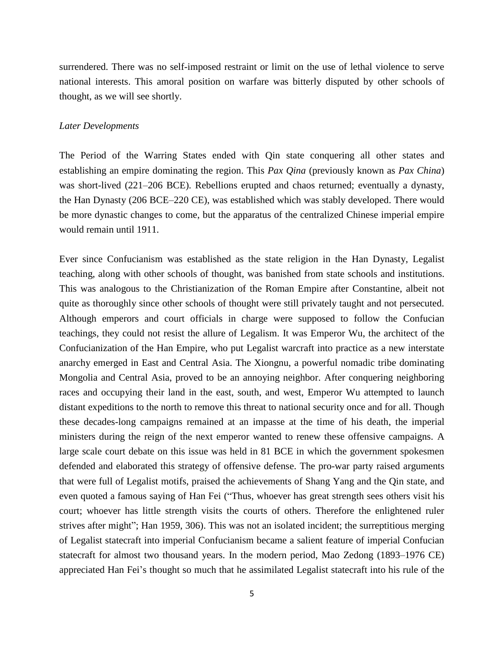surrendered. There was no self-imposed restraint or limit on the use of lethal violence to serve national interests. This amoral position on warfare was bitterly disputed by other schools of thought, as we will see shortly.

## *Later Developments*

The Period of the Warring States ended with Qin state conquering all other states and establishing an empire dominating the region. This *Pax Qina* (previously known as *Pax China*) was short-lived (221–206 BCE). Rebellions erupted and chaos returned; eventually a dynasty, the Han Dynasty (206 BCE–220 CE), was established which was stably developed. There would be more dynastic changes to come, but the apparatus of the centralized Chinese imperial empire would remain until 1911.

Ever since Confucianism was established as the state religion in the Han Dynasty, Legalist teaching, along with other schools of thought, was banished from state schools and institutions. This was analogous to the Christianization of the Roman Empire after Constantine, albeit not quite as thoroughly since other schools of thought were still privately taught and not persecuted. Although emperors and court officials in charge were supposed to follow the Confucian teachings, they could not resist the allure of Legalism. It was Emperor Wu, the architect of the Confucianization of the Han Empire, who put Legalist warcraft into practice as a new interstate anarchy emerged in East and Central Asia. The Xiongnu, a powerful nomadic tribe dominating Mongolia and Central Asia, proved to be an annoying neighbor. After conquering neighboring races and occupying their land in the east, south, and west, Emperor Wu attempted to launch distant expeditions to the north to remove this threat to national security once and for all. Though these decades-long campaigns remained at an impasse at the time of his death, the imperial ministers during the reign of the next emperor wanted to renew these offensive campaigns. A large scale court debate on this issue was held in 81 BCE in which the government spokesmen defended and elaborated this strategy of offensive defense. The pro-war party raised arguments that were full of Legalist motifs, praised the achievements of Shang Yang and the Qin state, and even quoted a famous saying of Han Fei ("Thus, whoever has great strength sees others visit his court; whoever has little strength visits the courts of others. Therefore the enlightened ruler strives after might"; Han 1959, 306). This was not an isolated incident; the surreptitious merging of Legalist statecraft into imperial Confucianism became a salient feature of imperial Confucian statecraft for almost two thousand years. In the modern period, Mao Zedong (1893–1976 CE) appreciated Han Fei's thought so much that he assimilated Legalist statecraft into his rule of the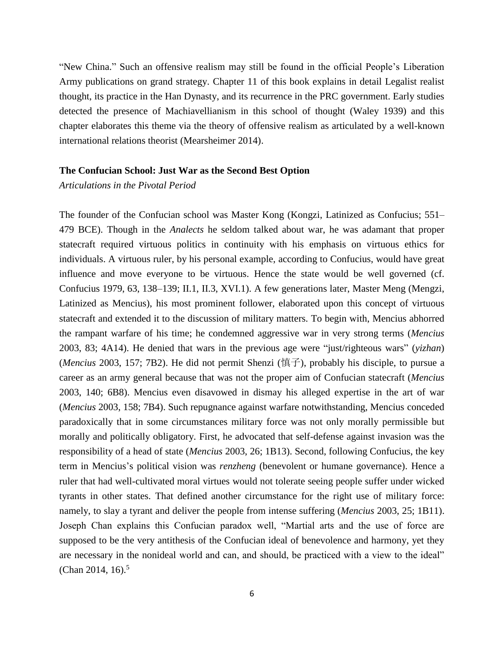"New China." Such an offensive realism may still be found in the official People's Liberation Army publications on grand strategy. Chapter 11 of this book explains in detail Legalist realist thought, its practice in the Han Dynasty, and its recurrence in the PRC government. Early studies detected the presence of Machiavellianism in this school of thought (Waley 1939) and this chapter elaborates this theme via the theory of offensive realism as articulated by a well-known international relations theorist (Mearsheimer 2014).

#### **The Confucian School: Just War as the Second Best Option**

# *Articulations in the Pivotal Period*

The founder of the Confucian school was Master Kong (Kongzi, Latinized as Confucius; 551– 479 BCE). Though in the *Analects* he seldom talked about war, he was adamant that proper statecraft required virtuous politics in continuity with his emphasis on virtuous ethics for individuals. A virtuous ruler, by his personal example, according to Confucius, would have great influence and move everyone to be virtuous. Hence the state would be well governed (cf. Confucius 1979, 63, 138–139; II.1, II.3, XVI.1). A few generations later, Master Meng (Mengzi, Latinized as Mencius), his most prominent follower, elaborated upon this concept of virtuous statecraft and extended it to the discussion of military matters. To begin with, Mencius abhorred the rampant warfare of his time; he condemned aggressive war in very strong terms (*Mencius* 2003, 83; 4A14). He denied that wars in the previous age were "just/righteous wars" (*yizhan*) (*Mencius* 2003, 157; 7B2). He did not permit Shenzi (慎子), probably his disciple, to pursue a career as an army general because that was not the proper aim of Confucian statecraft (*Mencius* 2003, 140; 6B8). Mencius even disavowed in dismay his alleged expertise in the art of war (*Mencius* 2003, 158; 7B4). Such repugnance against warfare notwithstanding, Mencius conceded paradoxically that in some circumstances military force was not only morally permissible but morally and politically obligatory. First, he advocated that self-defense against invasion was the responsibility of a head of state (*Mencius* 2003, 26; 1B13). Second, following Confucius, the key term in Mencius's political vision was *renzheng* (benevolent or humane governance). Hence a ruler that had well-cultivated moral virtues would not tolerate seeing people suffer under wicked tyrants in other states. That defined another circumstance for the right use of military force: namely, to slay a tyrant and deliver the people from intense suffering (*Mencius* 2003, 25; 1B11). Joseph Chan explains this Confucian paradox well, "Martial arts and the use of force are supposed to be the very antithesis of the Confucian ideal of benevolence and harmony, yet they are necessary in the nonideal world and can, and should, be practiced with a view to the ideal" (Chan 2014, 16).<sup>5</sup>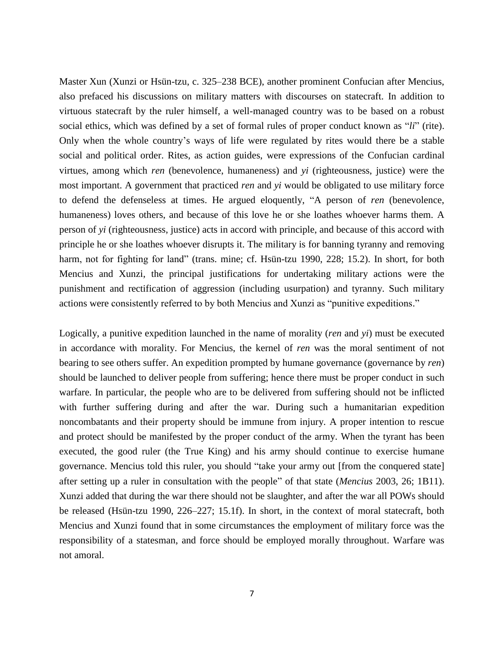Master Xun (Xunzi or Hsün-tzu, c. 325–238 BCE), another prominent Confucian after Mencius, also prefaced his discussions on military matters with discourses on statecraft. In addition to virtuous statecraft by the ruler himself, a well-managed country was to be based on a robust social ethics, which was defined by a set of formal rules of proper conduct known as "*li*" (rite). Only when the whole country's ways of life were regulated by rites would there be a stable social and political order. Rites, as action guides, were expressions of the Confucian cardinal virtues, among which *ren* (benevolence, humaneness) and *yi* (righteousness, justice) were the most important. A government that practiced *ren* and *yi* would be obligated to use military force to defend the defenseless at times. He argued eloquently, "A person of *ren* (benevolence, humaneness) loves others, and because of this love he or she loathes whoever harms them. A person of *yi* (righteousness, justice) acts in accord with principle, and because of this accord with principle he or she loathes whoever disrupts it. The military is for banning tyranny and removing harm, not for fighting for land" (trans. mine; cf. Hsün-tzu 1990, 228; 15.2). In short, for both Mencius and Xunzi, the principal justifications for undertaking military actions were the punishment and rectification of aggression (including usurpation) and tyranny. Such military actions were consistently referred to by both Mencius and Xunzi as "punitive expeditions."

Logically, a punitive expedition launched in the name of morality (*ren* and *yi*) must be executed in accordance with morality. For Mencius, the kernel of *ren* was the moral sentiment of not bearing to see others suffer. An expedition prompted by humane governance (governance by *ren*) should be launched to deliver people from suffering; hence there must be proper conduct in such warfare. In particular, the people who are to be delivered from suffering should not be inflicted with further suffering during and after the war. During such a humanitarian expedition noncombatants and their property should be immune from injury. A proper intention to rescue and protect should be manifested by the proper conduct of the army. When the tyrant has been executed, the good ruler (the True King) and his army should continue to exercise humane governance. Mencius told this ruler, you should "take your army out [from the conquered state] after setting up a ruler in consultation with the people" of that state (*Mencius* 2003, 26; 1B11). Xunzi added that during the war there should not be slaughter, and after the war all POWs should be released (Hsün-tzu 1990, 226–227; 15.1f). In short, in the context of moral statecraft, both Mencius and Xunzi found that in some circumstances the employment of military force was the responsibility of a statesman, and force should be employed morally throughout. Warfare was not amoral.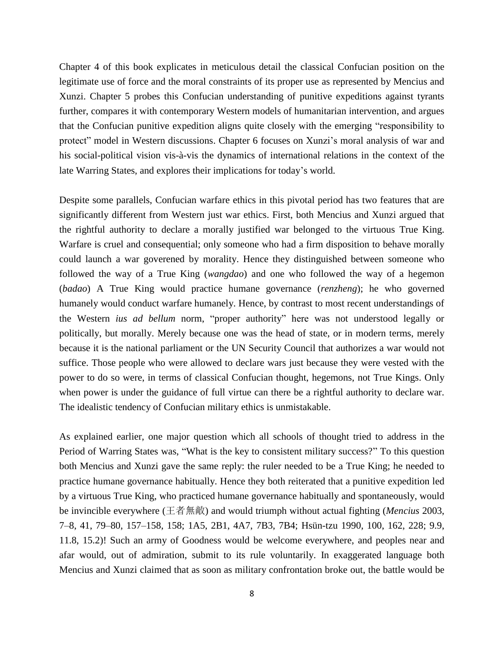Chapter 4 of this book explicates in meticulous detail the classical Confucian position on the legitimate use of force and the moral constraints of its proper use as represented by Mencius and Xunzi. Chapter 5 probes this Confucian understanding of punitive expeditions against tyrants further, compares it with contemporary Western models of humanitarian intervention, and argues that the Confucian punitive expedition aligns quite closely with the emerging "responsibility to protect" model in Western discussions. Chapter 6 focuses on Xunzi's moral analysis of war and his social-political vision vis-à-vis the dynamics of international relations in the context of the late Warring States, and explores their implications for today's world.

Despite some parallels, Confucian warfare ethics in this pivotal period has two features that are significantly different from Western just war ethics. First, both Mencius and Xunzi argued that the rightful authority to declare a morally justified war belonged to the virtuous True King. Warfare is cruel and consequential; only someone who had a firm disposition to behave morally could launch a war goverened by morality. Hence they distinguished between someone who followed the way of a True King (*wangdao*) and one who followed the way of a hegemon (*badao*) A True King would practice humane governance (*renzheng*); he who governed humanely would conduct warfare humanely. Hence, by contrast to most recent understandings of the Western *ius ad bellum* norm, "proper authority" here was not understood legally or politically, but morally. Merely because one was the head of state, or in modern terms, merely because it is the national parliament or the UN Security Council that authorizes a war would not suffice. Those people who were allowed to declare wars just because they were vested with the power to do so were, in terms of classical Confucian thought, hegemons, not True Kings. Only when power is under the guidance of full virtue can there be a rightful authority to declare war. The idealistic tendency of Confucian military ethics is unmistakable.

As explained earlier, one major question which all schools of thought tried to address in the Period of Warring States was, "What is the key to consistent military success?" To this question both Mencius and Xunzi gave the same reply: the ruler needed to be a True King; he needed to practice humane governance habitually. Hence they both reiterated that a punitive expedition led by a virtuous True King, who practiced humane governance habitually and spontaneously, would be invincible everywhere (王者無敵) and would triumph without actual fighting (*Mencius* 2003, 7–8, 41, 79–80, 157–158, 158; 1A5, 2B1, 4A7, 7B3, 7B4; Hsün-tzu 1990, 100, 162, 228; 9.9, 11.8, 15.2)! Such an army of Goodness would be welcome everywhere, and peoples near and afar would, out of admiration, submit to its rule voluntarily. In exaggerated language both Mencius and Xunzi claimed that as soon as military confrontation broke out, the battle would be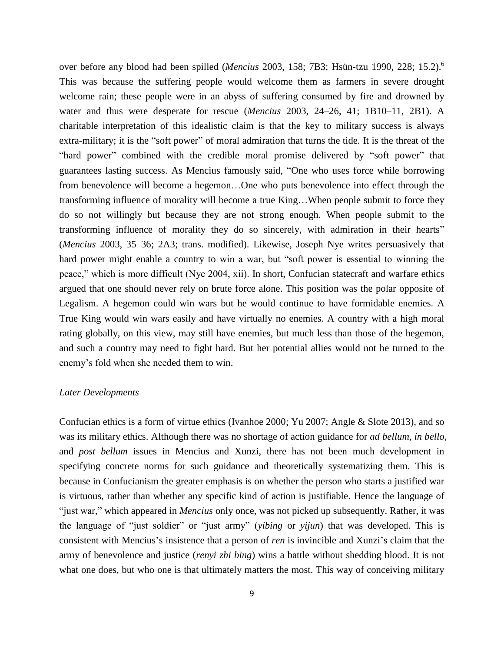over before any blood had been spilled (*Mencius* 2003, 158; 7B3; Hsün-tzu 1990, 228; 15.2).<sup>6</sup> This was because the suffering people would welcome them as farmers in severe drought welcome rain; these people were in an abyss of suffering consumed by fire and drowned by water and thus were desperate for rescue (*Mencius* 2003, 24–26, 41; 1B10–11, 2B1). A charitable interpretation of this idealistic claim is that the key to military success is always extra-military; it is the "soft power" of moral admiration that turns the tide. It is the threat of the "hard power" combined with the credible moral promise delivered by "soft power" that guarantees lasting success. As Mencius famously said, "One who uses force while borrowing from benevolence will become a hegemon…One who puts benevolence into effect through the transforming influence of morality will become a true King…When people submit to force they do so not willingly but because they are not strong enough. When people submit to the transforming influence of morality they do so sincerely, with admiration in their hearts" (*Mencius* 2003, 35–36; 2A3; trans. modified). Likewise, Joseph Nye writes persuasively that hard power might enable a country to win a war, but "soft power is essential to winning the peace," which is more difficult (Nye 2004, xii). In short, Confucian statecraft and warfare ethics argued that one should never rely on brute force alone. This position was the polar opposite of Legalism. A hegemon could win wars but he would continue to have formidable enemies. A True King would win wars easily and have virtually no enemies. A country with a high moral rating globally, on this view, may still have enemies, but much less than those of the hegemon, and such a country may need to fight hard. But her potential allies would not be turned to the enemy's fold when she needed them to win.

## *Later Developments*

Confucian ethics is a form of virtue ethics (Ivanhoe 2000; Yu 2007; Angle & Slote 2013), and so was its military ethics. Although there was no shortage of action guidance for *ad bellum*, *in bello*, and *post bellum* issues in Mencius and Xunzi, there has not been much development in specifying concrete norms for such guidance and theoretically systematizing them. This is because in Confucianism the greater emphasis is on whether the person who starts a justified war is virtuous, rather than whether any specific kind of action is justifiable. Hence the language of "just war," which appeared in *Mencius* only once, was not picked up subsequently. Rather, it was the language of "just soldier" or "just army" (*yibing* or *yijun*) that was developed. This is consistent with Mencius's insistence that a person of *ren* is invincible and Xunzi's claim that the army of benevolence and justice (*renyi zhi bing*) wins a battle without shedding blood. It is not what one does, but who one is that ultimately matters the most. This way of conceiving military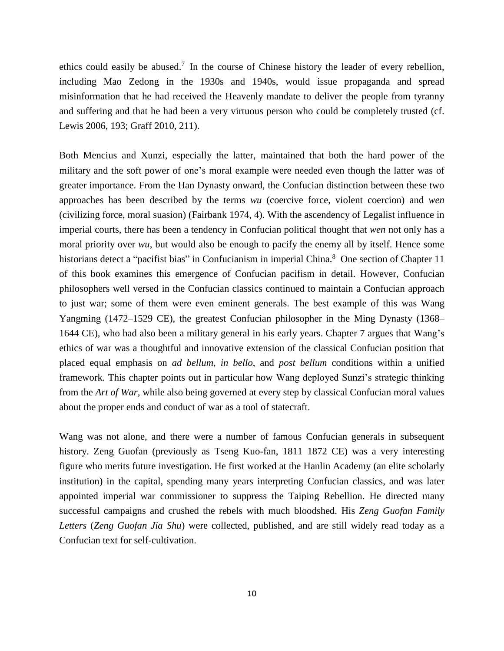ethics could easily be abused.<sup>7</sup> In the course of Chinese history the leader of every rebellion, including Mao Zedong in the 1930s and 1940s, would issue propaganda and spread misinformation that he had received the Heavenly mandate to deliver the people from tyranny and suffering and that he had been a very virtuous person who could be completely trusted (cf. Lewis 2006, 193; Graff 2010, 211).

Both Mencius and Xunzi, especially the latter, maintained that both the hard power of the military and the soft power of one's moral example were needed even though the latter was of greater importance. From the Han Dynasty onward, the Confucian distinction between these two approaches has been described by the terms *wu* (coercive force, violent coercion) and *wen* (civilizing force, moral suasion) (Fairbank 1974, 4). With the ascendency of Legalist influence in imperial courts, there has been a tendency in Confucian political thought that *wen* not only has a moral priority over *wu*, but would also be enough to pacify the enemy all by itself. Hence some historians detect a "pacifist bias" in Confucianism in imperial China.<sup>8</sup> One section of Chapter 11 of this book examines this emergence of Confucian pacifism in detail. However, Confucian philosophers well versed in the Confucian classics continued to maintain a Confucian approach to just war; some of them were even eminent generals. The best example of this was Wang Yangming (1472–1529 CE), the greatest Confucian philosopher in the Ming Dynasty (1368– 1644 CE), who had also been a military general in his early years. Chapter 7 argues that Wang's ethics of war was a thoughtful and innovative extension of the classical Confucian position that placed equal emphasis on *ad bellum*, *in bello*, and *post bellum* conditions within a unified framework. This chapter points out in particular how Wang deployed Sunzi's strategic thinking from the *Art of War*, while also being governed at every step by classical Confucian moral values about the proper ends and conduct of war as a tool of statecraft.

Wang was not alone, and there were a number of famous Confucian generals in subsequent history. Zeng Guofan (previously as Tseng Kuo-fan, 1811–1872 CE) was a very interesting figure who merits future investigation. He first worked at the Hanlin Academy (an elite scholarly institution) in the capital, spending many years interpreting Confucian classics, and was later appointed imperial war commissioner to suppress the Taiping Rebellion. He directed many successful campaigns and crushed the rebels with much bloodshed. His *Zeng Guofan Family Letters* (*Zeng Guofan Jia Shu*) were collected, published, and are still widely read today as a Confucian text for self-cultivation.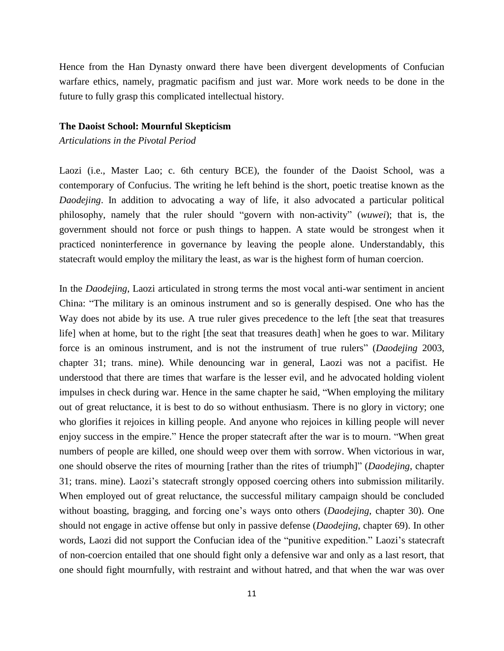Hence from the Han Dynasty onward there have been divergent developments of Confucian warfare ethics, namely, pragmatic pacifism and just war. More work needs to be done in the future to fully grasp this complicated intellectual history.

### **The Daoist School: Mournful Skepticism**

*Articulations in the Pivotal Period*

Laozi (i.e., Master Lao; c. 6th century BCE), the founder of the Daoist School, was a contemporary of Confucius. The writing he left behind is the short, poetic treatise known as the *Daodejing*. In addition to advocating a way of life, it also advocated a particular political philosophy, namely that the ruler should "govern with non-activity" (*wuwei*); that is, the government should not force or push things to happen. A state would be strongest when it practiced noninterference in governance by leaving the people alone. Understandably, this statecraft would employ the military the least, as war is the highest form of human coercion.

In the *Daodejing*, Laozi articulated in strong terms the most vocal anti-war sentiment in ancient China: "The military is an ominous instrument and so is generally despised. One who has the Way does not abide by its use. A true ruler gives precedence to the left [the seat that treasures life] when at home, but to the right [the seat that treasures death] when he goes to war. Military force is an ominous instrument, and is not the instrument of true rulers" (*Daodejing* 2003, chapter 31; trans. mine). While denouncing war in general, Laozi was not a pacifist. He understood that there are times that warfare is the lesser evil, and he advocated holding violent impulses in check during war. Hence in the same chapter he said, "When employing the military out of great reluctance, it is best to do so without enthusiasm. There is no glory in victory; one who glorifies it rejoices in killing people. And anyone who rejoices in killing people will never enjoy success in the empire." Hence the proper statecraft after the war is to mourn. "When great numbers of people are killed, one should weep over them with sorrow. When victorious in war, one should observe the rites of mourning [rather than the rites of triumph]" (*Daodejing*, chapter 31; trans. mine). Laozi's statecraft strongly opposed coercing others into submission militarily. When employed out of great reluctance, the successful military campaign should be concluded without boasting, bragging, and forcing one's ways onto others (*Daodejing*, chapter 30). One should not engage in active offense but only in passive defense (*Daodejing*, chapter 69). In other words, Laozi did not support the Confucian idea of the "punitive expedition." Laozi's statecraft of non-coercion entailed that one should fight only a defensive war and only as a last resort, that one should fight mournfully, with restraint and without hatred, and that when the war was over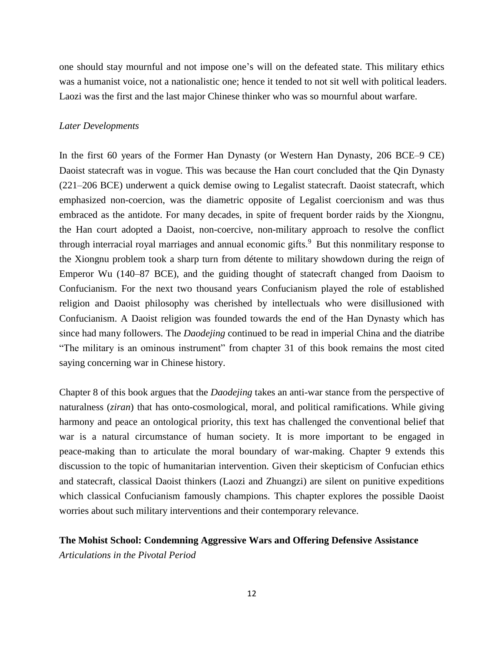one should stay mournful and not impose one's will on the defeated state. This military ethics was a humanist voice, not a nationalistic one; hence it tended to not sit well with political leaders. Laozi was the first and the last major Chinese thinker who was so mournful about warfare.

# *Later Developments*

In the first 60 years of the Former Han Dynasty (or Western Han Dynasty, 206 BCE–9 CE) Daoist statecraft was in vogue. This was because the Han court concluded that the Qin Dynasty (221–206 BCE) underwent a quick demise owing to Legalist statecraft. Daoist statecraft, which emphasized non-coercion, was the diametric opposite of Legalist coercionism and was thus embraced as the antidote. For many decades, in spite of frequent border raids by the Xiongnu, the Han court adopted a Daoist, non-coercive, non-military approach to resolve the conflict through interracial royal marriages and annual economic gifts.<sup>9</sup> But this nonmilitary response to the Xiongnu problem took a sharp turn from détente to military showdown during the reign of Emperor Wu (140–87 BCE), and the guiding thought of statecraft changed from Daoism to Confucianism. For the next two thousand years Confucianism played the role of established religion and Daoist philosophy was cherished by intellectuals who were disillusioned with Confucianism. A Daoist religion was founded towards the end of the Han Dynasty which has since had many followers. The *Daodejing* continued to be read in imperial China and the diatribe "The military is an ominous instrument" from chapter 31 of this book remains the most cited saying concerning war in Chinese history.

Chapter 8 of this book argues that the *Daodejing* takes an anti-war stance from the perspective of naturalness (*ziran*) that has onto-cosmological, moral, and political ramifications. While giving harmony and peace an ontological priority, this text has challenged the conventional belief that war is a natural circumstance of human society. It is more important to be engaged in peace-making than to articulate the moral boundary of war-making. Chapter 9 extends this discussion to the topic of humanitarian intervention. Given their skepticism of Confucian ethics and statecraft, classical Daoist thinkers (Laozi and Zhuangzi) are silent on punitive expeditions which classical Confucianism famously champions. This chapter explores the possible Daoist worries about such military interventions and their contemporary relevance.

# **The Mohist School: Condemning Aggressive Wars and Offering Defensive Assistance**

*Articulations in the Pivotal Period*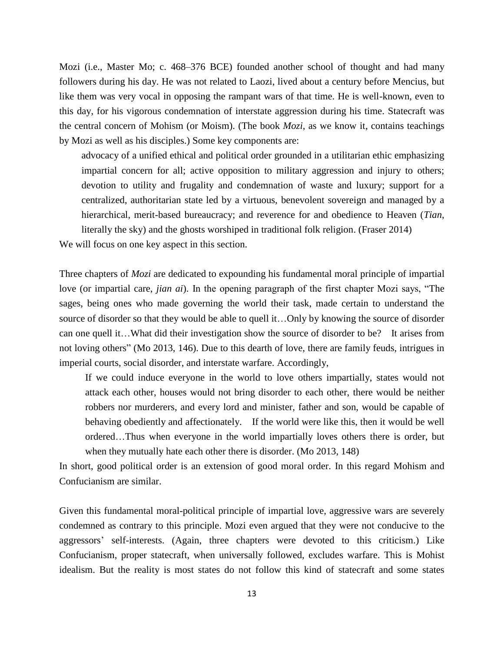Mozi (i.e., Master Mo; c. 468–376 BCE) founded another school of thought and had many followers during his day. He was not related to Laozi, lived about a century before Mencius, but like them was very vocal in opposing the rampant wars of that time. He is well-known, even to this day, for his vigorous condemnation of interstate aggression during his time. Statecraft was the central concern of Mohism (or Moism). (The book *Mozi*, as we know it, contains teachings by Mozi as well as his disciples.) Some key components are:

advocacy of a unified ethical and political order grounded in a utilitarian ethic emphasizing impartial concern for all; active opposition to military aggression and injury to others; devotion to utility and frugality and condemnation of waste and luxury; support for a centralized, authoritarian state led by a virtuous, benevolent sovereign and managed by a hierarchical, merit-based bureaucracy; and reverence for and obedience to Heaven (*Tian*, literally the sky) and the ghosts worshiped in traditional folk religion. (Fraser 2014)

We will focus on one key aspect in this section.

Three chapters of *Mozi* are dedicated to expounding his fundamental moral principle of impartial love (or impartial care, *jian ai*). In the opening paragraph of the first chapter Mozi says, "The sages, being ones who made governing the world their task, made certain to understand the source of disorder so that they would be able to quell it...Only by knowing the source of disorder can one quell it…What did their investigation show the source of disorder to be? It arises from not loving others" (Mo 2013, 146). Due to this dearth of love, there are family feuds, intrigues in imperial courts, social disorder, and interstate warfare. Accordingly,

If we could induce everyone in the world to love others impartially, states would not attack each other, houses would not bring disorder to each other, there would be neither robbers nor murderers, and every lord and minister, father and son, would be capable of behaving obediently and affectionately. If the world were like this, then it would be well ordered…Thus when everyone in the world impartially loves others there is order, but when they mutually hate each other there is disorder. (Mo 2013, 148)

In short, good political order is an extension of good moral order. In this regard Mohism and Confucianism are similar.

Given this fundamental moral-political principle of impartial love, aggressive wars are severely condemned as contrary to this principle. Mozi even argued that they were not conducive to the aggressors' self-interests. (Again, three chapters were devoted to this criticism.) Like Confucianism, proper statecraft, when universally followed, excludes warfare. This is Mohist idealism. But the reality is most states do not follow this kind of statecraft and some states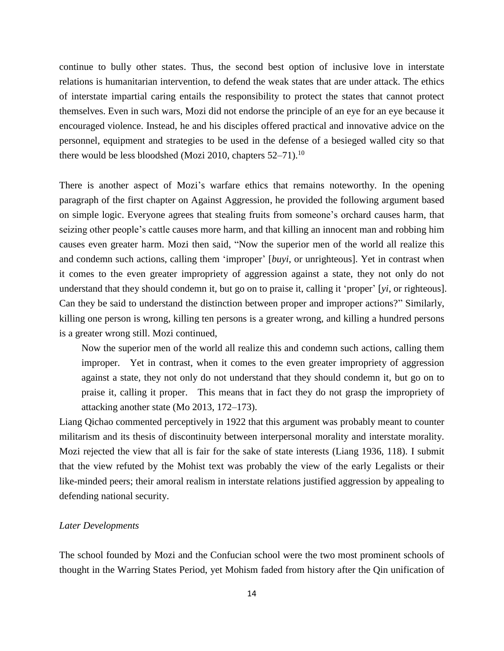continue to bully other states. Thus, the second best option of inclusive love in interstate relations is humanitarian intervention, to defend the weak states that are under attack. The ethics of interstate impartial caring entails the responsibility to protect the states that cannot protect themselves. Even in such wars, Mozi did not endorse the principle of an eye for an eye because it encouraged violence. Instead, he and his disciples offered practical and innovative advice on the personnel, equipment and strategies to be used in the defense of a besieged walled city so that there would be less bloodshed (Mozi 2010, chapters  $52-71$ ).<sup>10</sup>

There is another aspect of Mozi's warfare ethics that remains noteworthy. In the opening paragraph of the first chapter on Against Aggression, he provided the following argument based on simple logic. Everyone agrees that stealing fruits from someone's orchard causes harm, that seizing other people's cattle causes more harm, and that killing an innocent man and robbing him causes even greater harm. Mozi then said, "Now the superior men of the world all realize this and condemn such actions, calling them 'improper' [*buyi*, or unrighteous]. Yet in contrast when it comes to the even greater impropriety of aggression against a state, they not only do not understand that they should condemn it, but go on to praise it, calling it 'proper' [*yi*, or righteous]. Can they be said to understand the distinction between proper and improper actions?" Similarly, killing one person is wrong, killing ten persons is a greater wrong, and killing a hundred persons is a greater wrong still. Mozi continued,

Now the superior men of the world all realize this and condemn such actions, calling them improper. Yet in contrast, when it comes to the even greater impropriety of aggression against a state, they not only do not understand that they should condemn it, but go on to praise it, calling it proper. This means that in fact they do not grasp the impropriety of attacking another state (Mo 2013, 172–173).

Liang Qichao commented perceptively in 1922 that this argument was probably meant to counter militarism and its thesis of discontinuity between interpersonal morality and interstate morality. Mozi rejected the view that all is fair for the sake of state interests (Liang 1936, 118). I submit that the view refuted by the Mohist text was probably the view of the early Legalists or their like-minded peers; their amoral realism in interstate relations justified aggression by appealing to defending national security.

## *Later Developments*

The school founded by Mozi and the Confucian school were the two most prominent schools of thought in the Warring States Period, yet Mohism faded from history after the Qin unification of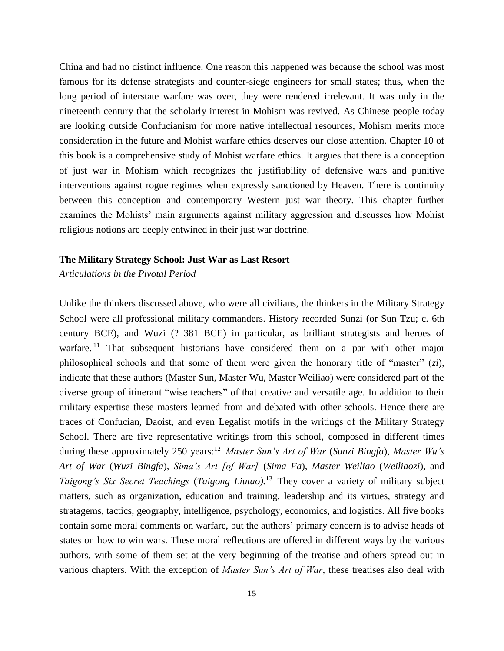China and had no distinct influence. One reason this happened was because the school was most famous for its defense strategists and counter-siege engineers for small states; thus, when the long period of interstate warfare was over, they were rendered irrelevant. It was only in the nineteenth century that the scholarly interest in Mohism was revived. As Chinese people today are looking outside Confucianism for more native intellectual resources, Mohism merits more consideration in the future and Mohist warfare ethics deserves our close attention. Chapter 10 of this book is a comprehensive study of Mohist warfare ethics. It argues that there is a conception of just war in Mohism which recognizes the justifiability of defensive wars and punitive interventions against rogue regimes when expressly sanctioned by Heaven. There is continuity between this conception and contemporary Western just war theory. This chapter further examines the Mohists' main arguments against military aggression and discusses how Mohist religious notions are deeply entwined in their just war doctrine.

## **The Military Strategy School: Just War as Last Resort**

*Articulations in the Pivotal Period*

Unlike the thinkers discussed above, who were all civilians, the thinkers in the Military Strategy School were all professional military commanders. History recorded Sunzi (or Sun Tzu; c. 6th century BCE), and Wuzi (?–381 BCE) in particular, as brilliant strategists and heroes of warfare.<sup>11</sup> That subsequent historians have considered them on a par with other major philosophical schools and that some of them were given the honorary title of "master" (*zi*), indicate that these authors (Master Sun, Master Wu, Master Weiliao) were considered part of the diverse group of itinerant "wise teachers" of that creative and versatile age. In addition to their military expertise these masters learned from and debated with other schools. Hence there are traces of Confucian, Daoist, and even Legalist motifs in the writings of the Military Strategy School. There are five representative writings from this school, composed in different times during these approximately 250 years: <sup>12</sup> *Master Sun's Art of War* (*Sunzi Bingfa*), *Master Wu's Art of War* (*Wuzi Bingfa*), *Sima's Art [of War]* (*Sima Fa*), *Master Weiliao* (*Weiliaozi*), and *Taigong's Six Secret Teachings* (*Taigong Liutao).*<sup>13</sup> They cover a variety of military subject matters, such as organization, education and training, leadership and its virtues, strategy and stratagems, tactics, geography, intelligence, psychology, economics, and logistics. All five books contain some moral comments on warfare, but the authors' primary concern is to advise heads of states on how to win wars. These moral reflections are offered in different ways by the various authors, with some of them set at the very beginning of the treatise and others spread out in various chapters. With the exception of *Master Sun's Art of War*, these treatises also deal with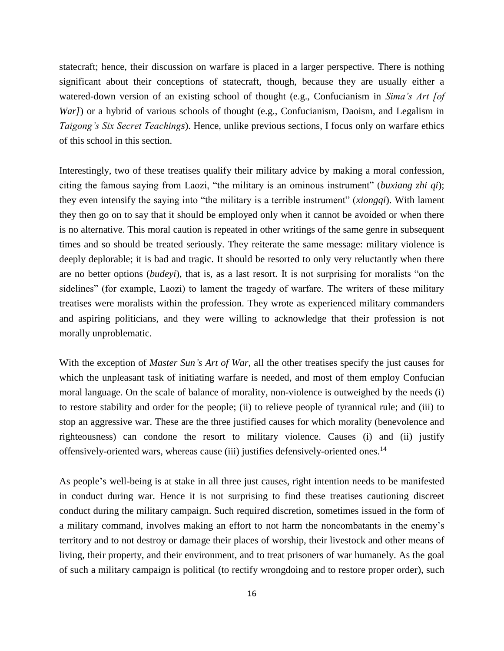statecraft; hence, their discussion on warfare is placed in a larger perspective. There is nothing significant about their conceptions of statecraft, though, because they are usually either a watered-down version of an existing school of thought (e.g., Confucianism in *Sima's Art [of War]*) or a hybrid of various schools of thought (e.g., Confucianism, Daoism, and Legalism in *Taigong's Six Secret Teachings*). Hence, unlike previous sections, I focus only on warfare ethics of this school in this section.

Interestingly, two of these treatises qualify their military advice by making a moral confession, citing the famous saying from Laozi, "the military is an ominous instrument" (*buxiang zhi qi*); they even intensify the saying into "the military is a terrible instrument" (*xiongqi*). With lament they then go on to say that it should be employed only when it cannot be avoided or when there is no alternative. This moral caution is repeated in other writings of the same genre in subsequent times and so should be treated seriously. They reiterate the same message: military violence is deeply deplorable; it is bad and tragic. It should be resorted to only very reluctantly when there are no better options (*budeyi*), that is, as a last resort. It is not surprising for moralists "on the sidelines" (for example, Laozi) to lament the tragedy of warfare. The writers of these military treatises were moralists within the profession. They wrote as experienced military commanders and aspiring politicians, and they were willing to acknowledge that their profession is not morally unproblematic.

With the exception of *Master Sun's Art of War*, all the other treatises specify the just causes for which the unpleasant task of initiating warfare is needed, and most of them employ Confucian moral language. On the scale of balance of morality, non-violence is outweighed by the needs (i) to restore stability and order for the people; (ii) to relieve people of tyrannical rule; and (iii) to stop an aggressive war. These are the three justified causes for which morality (benevolence and righteousness) can condone the resort to military violence. Causes (i) and (ii) justify offensively-oriented wars, whereas cause (iii) justifies defensively-oriented ones.<sup>14</sup>

As people's well-being is at stake in all three just causes, right intention needs to be manifested in conduct during war. Hence it is not surprising to find these treatises cautioning discreet conduct during the military campaign. Such required discretion, sometimes issued in the form of a military command, involves making an effort to not harm the noncombatants in the enemy's territory and to not destroy or damage their places of worship, their livestock and other means of living, their property, and their environment, and to treat prisoners of war humanely. As the goal of such a military campaign is political (to rectify wrongdoing and to restore proper order), such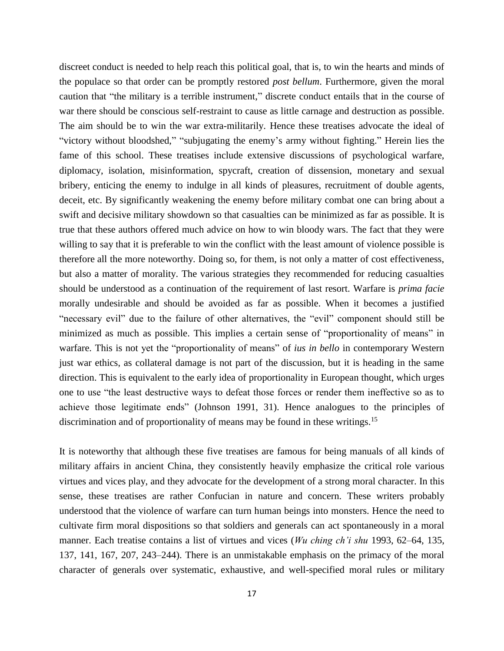discreet conduct is needed to help reach this political goal, that is, to win the hearts and minds of the populace so that order can be promptly restored *post bellum*. Furthermore, given the moral caution that "the military is a terrible instrument," discrete conduct entails that in the course of war there should be conscious self-restraint to cause as little carnage and destruction as possible. The aim should be to win the war extra-militarily. Hence these treatises advocate the ideal of "victory without bloodshed," "subjugating the enemy's army without fighting." Herein lies the fame of this school. These treatises include extensive discussions of psychological warfare, diplomacy, isolation, misinformation, spycraft, creation of dissension, monetary and sexual bribery, enticing the enemy to indulge in all kinds of pleasures, recruitment of double agents, deceit, etc. By significantly weakening the enemy before military combat one can bring about a swift and decisive military showdown so that casualties can be minimized as far as possible. It is true that these authors offered much advice on how to win bloody wars. The fact that they were willing to say that it is preferable to win the conflict with the least amount of violence possible is therefore all the more noteworthy. Doing so, for them, is not only a matter of cost effectiveness, but also a matter of morality. The various strategies they recommended for reducing casualties should be understood as a continuation of the requirement of last resort. Warfare is *prima facie* morally undesirable and should be avoided as far as possible. When it becomes a justified "necessary evil" due to the failure of other alternatives, the "evil" component should still be minimized as much as possible. This implies a certain sense of "proportionality of means" in warfare. This is not yet the "proportionality of means" of *ius in bello* in contemporary Western just war ethics, as collateral damage is not part of the discussion, but it is heading in the same direction. This is equivalent to the early idea of proportionality in European thought, which urges one to use "the least destructive ways to defeat those forces or render them ineffective so as to achieve those legitimate ends" (Johnson 1991, 31). Hence analogues to the principles of discrimination and of proportionality of means may be found in these writings.<sup>15</sup>

It is noteworthy that although these five treatises are famous for being manuals of all kinds of military affairs in ancient China, they consistently heavily emphasize the critical role various virtues and vices play, and they advocate for the development of a strong moral character. In this sense, these treatises are rather Confucian in nature and concern. These writers probably understood that the violence of warfare can turn human beings into monsters. Hence the need to cultivate firm moral dispositions so that soldiers and generals can act spontaneously in a moral manner. Each treatise contains a list of virtues and vices (*Wu ching ch'i shu* 1993, 62–64, 135, 137, 141, 167, 207, 243–244). There is an unmistakable emphasis on the primacy of the moral character of generals over systematic, exhaustive, and well-specified moral rules or military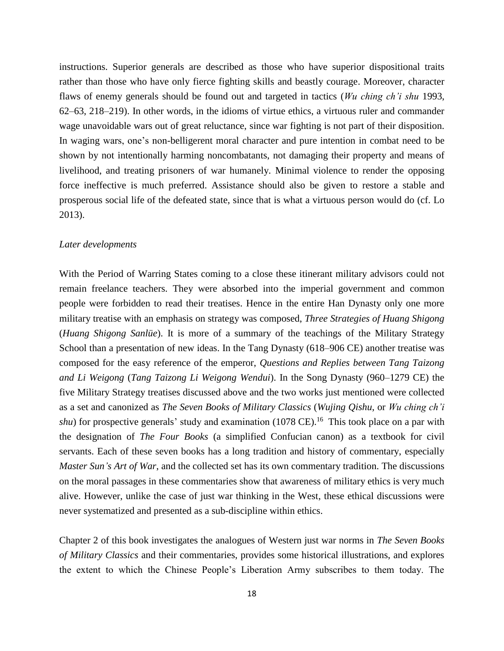instructions. Superior generals are described as those who have superior dispositional traits rather than those who have only fierce fighting skills and beastly courage. Moreover, character flaws of enemy generals should be found out and targeted in tactics (*Wu ching ch'i shu* 1993, 62–63, 218–219). In other words, in the idioms of virtue ethics, a virtuous ruler and commander wage unavoidable wars out of great reluctance, since war fighting is not part of their disposition. In waging wars, one's non-belligerent moral character and pure intention in combat need to be shown by not intentionally harming noncombatants, not damaging their property and means of livelihood, and treating prisoners of war humanely. Minimal violence to render the opposing force ineffective is much preferred. Assistance should also be given to restore a stable and prosperous social life of the defeated state, since that is what a virtuous person would do (cf. Lo 2013).

### *Later developments*

With the Period of Warring States coming to a close these itinerant military advisors could not remain freelance teachers. They were absorbed into the imperial government and common people were forbidden to read their treatises. Hence in the entire Han Dynasty only one more military treatise with an emphasis on strategy was composed, *Three Strategies of Huang Shigong* (*Huang Shigong Sanlüe*). It is more of a summary of the teachings of the Military Strategy School than a presentation of new ideas. In the Tang Dynasty (618–906 CE) another treatise was composed for the easy reference of the emperor, *Questions and Replies between Tang Taizong and Li Weigong* (*Tang Taizong Li Weigong Wendui*). In the Song Dynasty (960–1279 CE) the five Military Strategy treatises discussed above and the two works just mentioned were collected as a set and canonized as *The Seven Books of Military Classics* (*Wujing Qishu*, or *Wu ching ch'i shu*) for prospective generals' study and examination (1078 CE).<sup>16</sup> This took place on a par with the designation of *The Four Books* (a simplified Confucian canon) as a textbook for civil servants. Each of these seven books has a long tradition and history of commentary, especially *Master Sun's Art of War*, and the collected set has its own commentary tradition. The discussions on the moral passages in these commentaries show that awareness of military ethics is very much alive. However, unlike the case of just war thinking in the West, these ethical discussions were never systematized and presented as a sub-discipline within ethics.

Chapter 2 of this book investigates the analogues of Western just war norms in *The Seven Books of Military Classics* and their commentaries, provides some historical illustrations, and explores the extent to which the Chinese People's Liberation Army subscribes to them today. The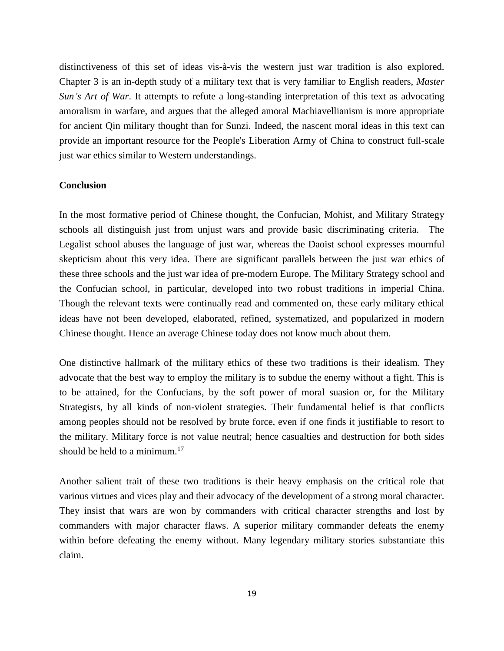distinctiveness of this set of ideas vis-à-vis the western just war tradition is also explored. Chapter 3 is an in-depth study of a military text that is very familiar to English readers, *Master Sun's Art of War*. It attempts to refute a long-standing interpretation of this text as advocating amoralism in warfare, and argues that the alleged amoral Machiavellianism is more appropriate for ancient Qin military thought than for Sunzi. Indeed, the nascent moral ideas in this text can provide an important resource for the People's Liberation Army of China to construct full-scale just war ethics similar to Western understandings.

### **Conclusion**

In the most formative period of Chinese thought, the Confucian, Mohist, and Military Strategy schools all distinguish just from unjust wars and provide basic discriminating criteria. The Legalist school abuses the language of just war, whereas the Daoist school expresses mournful skepticism about this very idea. There are significant parallels between the just war ethics of these three schools and the just war idea of pre-modern Europe. The Military Strategy school and the Confucian school, in particular, developed into two robust traditions in imperial China. Though the relevant texts were continually read and commented on, these early military ethical ideas have not been developed, elaborated, refined, systematized, and popularized in modern Chinese thought. Hence an average Chinese today does not know much about them.

One distinctive hallmark of the military ethics of these two traditions is their idealism. They advocate that the best way to employ the military is to subdue the enemy without a fight. This is to be attained, for the Confucians, by the soft power of moral suasion or, for the Military Strategists, by all kinds of non-violent strategies. Their fundamental belief is that conflicts among peoples should not be resolved by brute force, even if one finds it justifiable to resort to the military. Military force is not value neutral; hence casualties and destruction for both sides should be held to a minimum.<sup>17</sup>

Another salient trait of these two traditions is their heavy emphasis on the critical role that various virtues and vices play and their advocacy of the development of a strong moral character. They insist that wars are won by commanders with critical character strengths and lost by commanders with major character flaws. A superior military commander defeats the enemy within before defeating the enemy without. Many legendary military stories substantiate this claim.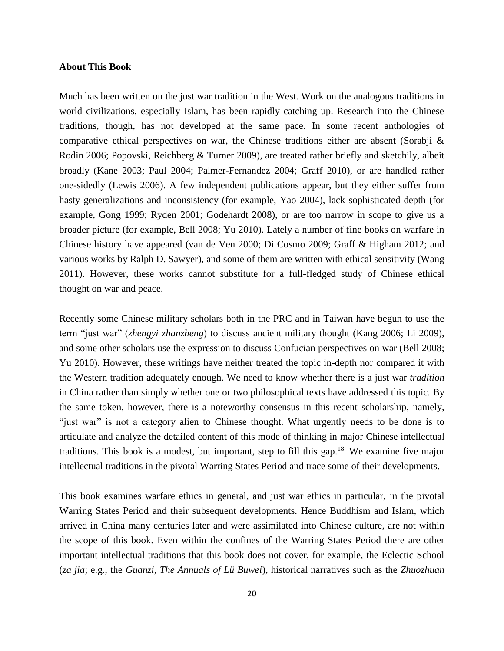# **About This Book**

Much has been written on the just war tradition in the West. Work on the analogous traditions in world civilizations, especially Islam, has been rapidly catching up. Research into the Chinese traditions, though, has not developed at the same pace. In some recent anthologies of comparative ethical perspectives on war, the Chinese traditions either are absent (Sorabji  $\&$ Rodin 2006; Popovski, Reichberg & Turner 2009), are treated rather briefly and sketchily, albeit broadly (Kane 2003; Paul 2004; Palmer-Fernandez 2004; Graff 2010), or are handled rather one-sidedly (Lewis 2006). A few independent publications appear, but they either suffer from hasty generalizations and inconsistency (for example, Yao 2004), lack sophisticated depth (for example, Gong 1999; Ryden 2001; Godehardt 2008), or are too narrow in scope to give us a broader picture (for example, Bell 2008; Yu 2010). Lately a number of fine books on warfare in Chinese history have appeared (van de Ven 2000; Di Cosmo 2009; Graff & Higham 2012; and various works by Ralph D. Sawyer), and some of them are written with ethical sensitivity (Wang 2011). However, these works cannot substitute for a full-fledged study of Chinese ethical thought on war and peace.

Recently some Chinese military scholars both in the PRC and in Taiwan have begun to use the term "just war" (*zhengyi zhanzheng*) to discuss ancient military thought (Kang 2006; Li 2009), and some other scholars use the expression to discuss Confucian perspectives on war (Bell 2008; Yu 2010). However, these writings have neither treated the topic in-depth nor compared it with the Western tradition adequately enough. We need to know whether there is a just war *tradition* in China rather than simply whether one or two philosophical texts have addressed this topic. By the same token, however, there is a noteworthy consensus in this recent scholarship, namely, "just war" is not a category alien to Chinese thought. What urgently needs to be done is to articulate and analyze the detailed content of this mode of thinking in major Chinese intellectual traditions. This book is a modest, but important, step to fill this gap.<sup>18</sup> We examine five major intellectual traditions in the pivotal Warring States Period and trace some of their developments.

This book examines warfare ethics in general, and just war ethics in particular, in the pivotal Warring States Period and their subsequent developments. Hence Buddhism and Islam, which arrived in China many centuries later and were assimilated into Chinese culture, are not within the scope of this book. Even within the confines of the Warring States Period there are other important intellectual traditions that this book does not cover, for example, the Eclectic School (*za jia*; e.g., the *Guanzi*, *The Annuals of Lü Buwei*), historical narratives such as the *Zhuozhuan*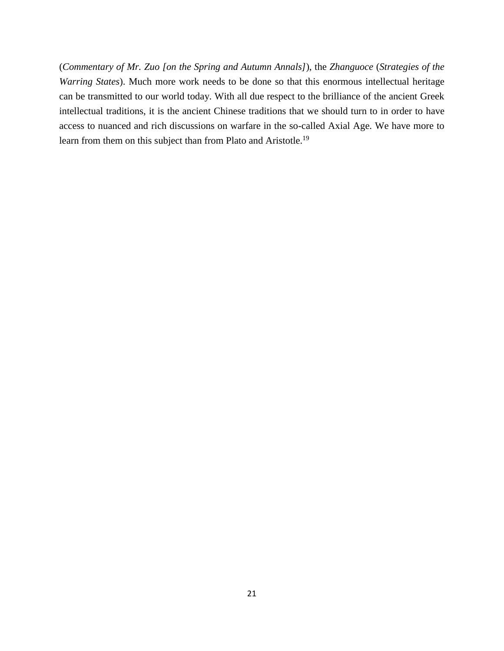(*Commentary of Mr. Zuo [on the Spring and Autumn Annals]*), the *Zhanguoce* (*Strategies of the Warring States*). Much more work needs to be done so that this enormous intellectual heritage can be transmitted to our world today. With all due respect to the brilliance of the ancient Greek intellectual traditions, it is the ancient Chinese traditions that we should turn to in order to have access to nuanced and rich discussions on warfare in the so-called Axial Age. We have more to learn from them on this subject than from Plato and Aristotle.<sup>19</sup>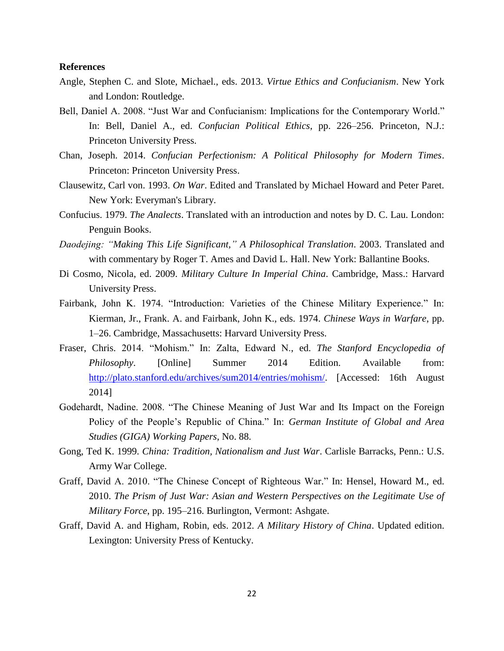# **References**

- Angle, Stephen C. and Slote, Michael., eds. 2013. *Virtue Ethics and Confucianism*. New York and London: Routledge.
- Bell, Daniel A. 2008. "Just War and Confucianism: Implications for the Contemporary World." In: Bell, Daniel A., ed. *Confucian Political Ethics*, pp. 226–256. Princeton, N.J.: Princeton University Press.
- Chan, Joseph. 2014. *Confucian Perfectionism: A Political Philosophy for Modern Times*. Princeton: Princeton University Press.
- Clausewitz, Carl von. 1993. *On War*. Edited and Translated by Michael Howard and Peter Paret. New York: Everyman's Library.
- Confucius. 1979. *The Analects*. Translated with an introduction and notes by D. C. Lau. London: Penguin Books.
- *Daodejing: "Making This Life Significant," A Philosophical Translation*. 2003. Translated and with commentary by Roger T. Ames and David L. Hall. New York: Ballantine Books.
- Di Cosmo, Nicola, ed. 2009. *Military Culture In Imperial China*. Cambridge, Mass.: Harvard University Press.
- Fairbank, John K. 1974. "Introduction: Varieties of the Chinese Military Experience." In: Kierman, Jr., Frank. A. and Fairbank, John K., eds. 1974. *Chinese Ways in Warfare*, pp. 1–26. Cambridge, Massachusetts: Harvard University Press.
- Fraser, Chris. 2014. "Mohism." In: Zalta, Edward N., ed. *The Stanford Encyclopedia of Philosophy*. [Online] Summer 2014 Edition. Available from: [http://plato.stanford.edu/archives/sum2014/entries/mohism/.](http://plato.stanford.edu/archives/sum2014/entries/mohism/) [Accessed: 16th August 2014]
- Godehardt, Nadine. 2008. "The Chinese Meaning of Just War and Its Impact on the Foreign Policy of the People's Republic of China." In: *German Institute of Global and Area Studies (GIGA) Working Papers*, No. 88.
- Gong, Ted K. 1999. *China: Tradition, Nationalism and Just War*. Carlisle Barracks, Penn.: U.S. Army War College.
- Graff, David A. 2010. "The Chinese Concept of Righteous War." In: Hensel, Howard M., ed. 2010. *The Prism of Just War: Asian and Western Perspectives on the Legitimate Use of Military Force*, pp. 195–216. Burlington, Vermont: Ashgate.
- Graff, David A. and Higham, Robin, eds. 2012. *A Military History of China*. Updated edition. Lexington: University Press of Kentucky.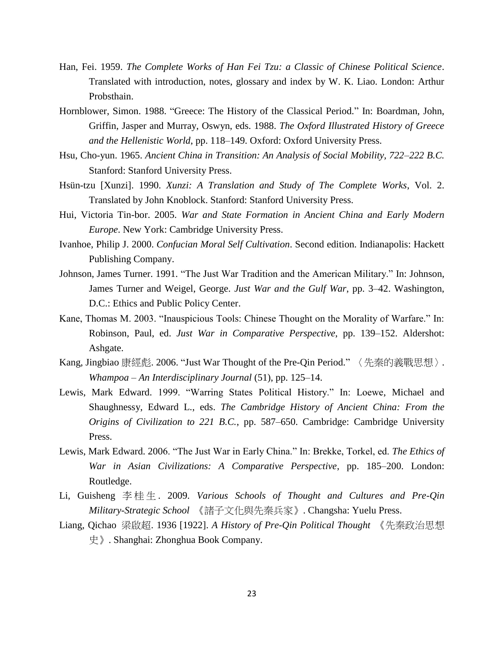- Han, Fei. 1959. *The Complete Works of Han Fei Tzu: a Classic of Chinese Political Science*. Translated with introduction, notes, glossary and index by W. K. Liao. London: Arthur Probsthain.
- Hornblower, Simon. 1988. "Greece: The History of the Classical Period." In: Boardman, John, Griffin, Jasper and Murray, Oswyn, eds. 1988. *The Oxford Illustrated History of Greece and the Hellenistic World*, pp. 118–149. Oxford: Oxford University Press.
- Hsu, Cho-yun. 1965. *Ancient China in Transition: An Analysis of Social Mobility, 722–222 B.C.* Stanford: Stanford University Press.
- Hsün-tzu [Xunzi]. 1990. *Xunzi: A Translation and Study of The Complete Works*, Vol. 2. Translated by John Knoblock. Stanford: Stanford University Press.
- Hui, Victoria Tin-bor. 2005. *War and State Formation in Ancient China and Early Modern Europe*. New York: Cambridge University Press.
- Ivanhoe, Philip J. 2000. *Confucian Moral Self Cultivation*. Second edition. Indianapolis: Hackett Publishing Company.
- Johnson, James Turner. 1991. "The Just War Tradition and the American Military." In: Johnson, James Turner and Weigel, George. *Just War and the Gulf War*, pp. 3–42. Washington, D.C.: Ethics and Public Policy Center.
- Kane, Thomas M. 2003. "Inauspicious Tools: Chinese Thought on the Morality of Warfare." In: Robinson, Paul, ed. *Just War in Comparative Perspective*, pp. 139–152. Aldershot: Ashgate.
- Kang, Jingbiao 康經彪. 2006. "Just War Thought of the Pre-Qin Period." 〈先秦的義戰思想〉. *Whampoa – An Interdisciplinary Journal* (51), pp. 125–14.
- Lewis, Mark Edward. 1999. "Warring States Political History." In: Loewe, Michael and Shaughnessy, Edward L., eds. *The Cambridge History of Ancient China: From the Origins of Civilization to 221 B.C.*, pp. 587–650. Cambridge: Cambridge University Press.
- Lewis, Mark Edward. 2006. "The Just War in Early China." In: Brekke, Torkel, ed. *The Ethics of War in Asian Civilizations: A Comparative Perspective*, pp. 185–200. London: Routledge.
- Li, Guisheng 李桂生 . 2009. *Various Schools of Thought and Cultures and Pre-Qin Military-Strategic School* 《諸子文化與先秦兵家》. Changsha: Yuelu Press.
- Liang, Qichao 梁啟超. 1936 [1922]. *A History of Pre-Qin Political Thought* 《先秦政治思想 史》. Shanghai: Zhonghua Book Company.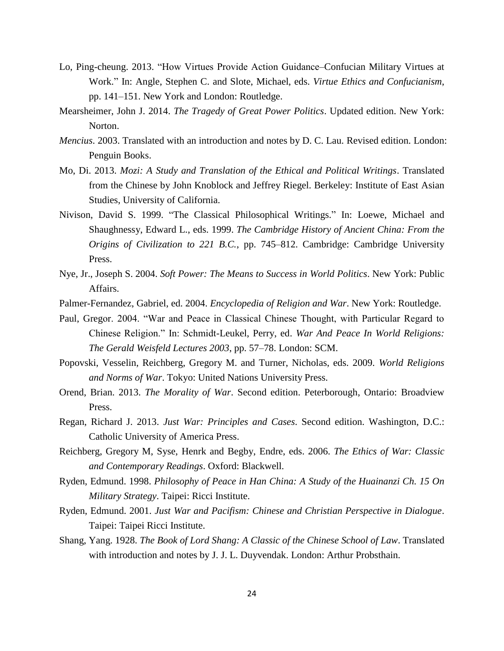- Lo, Ping-cheung. 2013. "How Virtues Provide Action Guidance–Confucian Military Virtues at Work." In: Angle, Stephen C. and Slote, Michael, eds. *Virtue Ethics and Confucianism*, pp. 141–151. New York and London: Routledge.
- Mearsheimer, John J. 2014. *The Tragedy of Great Power Politics*. Updated edition. New York: Norton.
- *Mencius*. 2003. Translated with an introduction and notes by D. C. Lau. Revised edition. London: Penguin Books.
- Mo, Di. 2013. *Mozi: A Study and Translation of the Ethical and Political Writings*. Translated from the Chinese by John Knoblock and Jeffrey Riegel. Berkeley: Institute of East Asian Studies, University of California.
- Nivison, David S. 1999. "The Classical Philosophical Writings." In: Loewe, Michael and Shaughnessy, Edward L., eds. 1999. *The Cambridge History of Ancient China: From the Origins of Civilization to 221 B.C.*, pp. 745–812. Cambridge: Cambridge University Press.
- Nye, Jr., Joseph S. 2004. *Soft Power: The Means to Success in World Politics*. New York: Public Affairs.
- Palmer-Fernandez, Gabriel, ed. 2004. *Encyclopedia of Religion and War*. New York: Routledge.
- Paul, Gregor. 2004. "War and Peace in Classical Chinese Thought, with Particular Regard to Chinese Religion." In: Schmidt-Leukel, Perry, ed. *War And Peace In World Religions: The Gerald Weisfeld Lectures 2003*, pp. 57–78. London: SCM.
- Popovski, Vesselin, Reichberg, Gregory M. and Turner, Nicholas, eds. 2009. *World Religions and Norms of War*. Tokyo: United Nations University Press.
- Orend, Brian. 2013. *The Morality of War*. Second edition. Peterborough, Ontario: Broadview Press.
- Regan, Richard J. 2013. *Just War: Principles and Cases*. Second edition. Washington, D.C.: Catholic University of America Press.
- Reichberg, Gregory M, Syse, Henrk and Begby, Endre, eds. 2006. *The Ethics of War: Classic and Contemporary Readings*. Oxford: Blackwell.
- Ryden, Edmund. 1998. *Philosophy of Peace in Han China: A Study of the Huainanzi Ch. 15 On Military Strategy*. Taipei: Ricci Institute.
- Ryden, Edmund. 2001. *Just War and Pacifism: Chinese and Christian Perspective in Dialogue*. Taipei: Taipei Ricci Institute.
- Shang, Yang. 1928. *The Book of Lord Shang: A Classic of the Chinese School of Law*. Translated with introduction and notes by J. J. L. Duyvendak. London: Arthur Probsthain.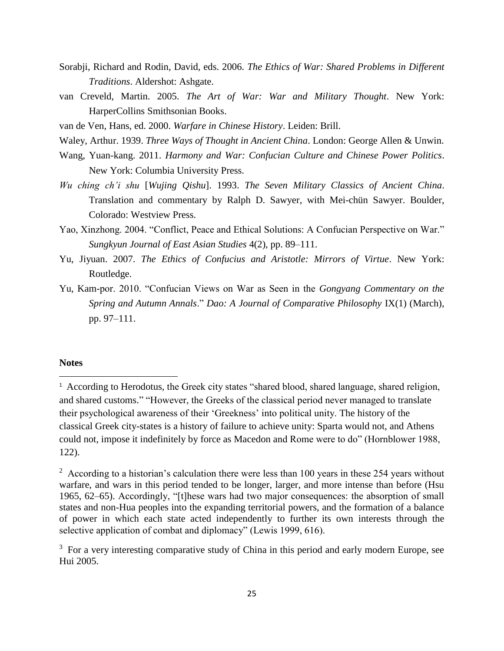- Sorabji, Richard and Rodin, David, eds. 2006. *The Ethics of War: Shared Problems in Different Traditions*. Aldershot: Ashgate.
- van Creveld, Martin. 2005. *The Art of War: War and Military Thought*. New York: HarperCollins Smithsonian Books.
- van de Ven, Hans, ed. 2000. *Warfare in Chinese History*. Leiden: Brill.
- Waley, Arthur. 1939. *Three Ways of Thought in Ancient China*. London: George Allen & Unwin.
- Wang, Yuan-kang. 2011. *Harmony and War: Confucian Culture and Chinese Power Politics*. New York: Columbia University Press.
- *Wu ching ch'i shu* [*Wujing Qishu*]. 1993. *The Seven Military Classics of Ancient China*. Translation and commentary by Ralph D. Sawyer, with Mei-chün Sawyer. Boulder, Colorado: Westview Press.
- Yao, Xinzhong. 2004. "Conflict, Peace and Ethical Solutions: A Confucian Perspective on War." *Sungkyun Journal of East Asian Studies* 4(2), pp. 89–111.
- Yu, Jiyuan. 2007. *The Ethics of Confucius and Aristotle: Mirrors of Virtue*. New York: Routledge.
- Yu, Kam-por. 2010. "Confucian Views on War as Seen in the *Gongyang Commentary on the Spring and Autumn Annals*." *Dao: A Journal of Comparative Philosophy* IX(1) (March), pp. 97–111.

# **Notes**

 $\overline{a}$ 

<sup>&</sup>lt;sup>1</sup> According to Herodotus, the Greek city states "shared blood, shared language, shared religion, and shared customs." "However, the Greeks of the classical period never managed to translate their psychological awareness of their 'Greekness' into political unity. The history of the classical Greek city-states is a history of failure to achieve unity: Sparta would not, and Athens could not, impose it indefinitely by force as Macedon and Rome were to do" (Hornblower 1988, 122).

 $2 \text{ According to a historian's calculation there were less than 100 years in these 254 years without}$ warfare, and wars in this period tended to be longer, larger, and more intense than before (Hsu 1965, 62–65). Accordingly, "[t]hese wars had two major consequences: the absorption of small states and non-Hua peoples into the expanding territorial powers, and the formation of a balance of power in which each state acted independently to further its own interests through the selective application of combat and diplomacy" (Lewis 1999, 616).

<sup>&</sup>lt;sup>3</sup> For a very interesting comparative study of China in this period and early modern Europe, see Hui 2005.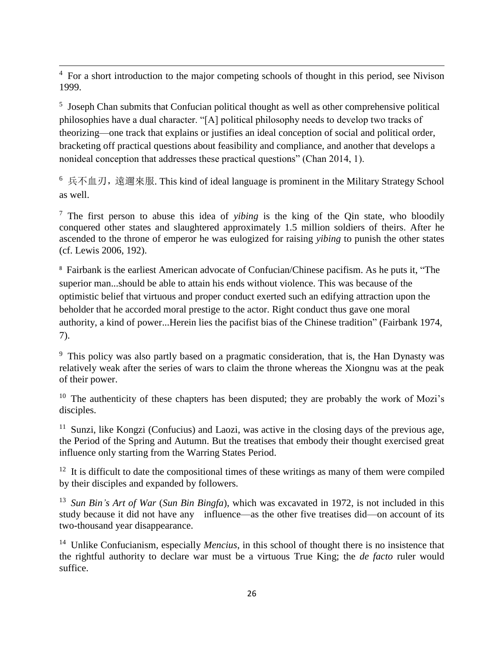$\overline{\phantom{a}}$  $4\,$  For a short introduction to the major competing schools of thought in this period, see Nivison 1999.

<sup>5</sup> Joseph Chan submits that Confucian political thought as well as other comprehensive political philosophies have a dual character. "[A] political philosophy needs to develop two tracks of theorizing—one track that explains or justifies an ideal conception of social and political order, bracketing off practical questions about feasibility and compliance, and another that develops a nonideal conception that addresses these practical questions" (Chan 2014, 1).

<sup>6</sup> 兵不血刃, 遠邇來服. This kind of ideal language is prominent in the Military Strategy School as well.

<sup>7</sup> The first person to abuse this idea of *yibing* is the king of the Qin state, who bloodily conquered other states and slaughtered approximately 1.5 million soldiers of theirs. After he ascended to the throne of emperor he was eulogized for raising *yibing* to punish the other states (cf. Lewis 2006, 192).

<sup>8</sup> Fairbank is the earliest American advocate of Confucian/Chinese pacifism. As he puts it, "The superior man...should be able to attain his ends without violence. This was because of the optimistic belief that virtuous and proper conduct exerted such an edifying attraction upon the beholder that he accorded moral prestige to the actor. Right conduct thus gave one moral authority, a kind of power...Herein lies the pacifist bias of the Chinese tradition" (Fairbank 1974, 7).

<sup>9</sup> This policy was also partly based on a pragmatic consideration, that is, the Han Dynasty was relatively weak after the series of wars to claim the throne whereas the Xiongnu was at the peak of their power.

<sup>10</sup> The authenticity of these chapters has been disputed; they are probably the work of Mozi's disciples.

 $11$  Sunzi, like Kongzi (Confucius) and Laozi, was active in the closing days of the previous age, the Period of the Spring and Autumn. But the treatises that embody their thought exercised great influence only starting from the Warring States Period.

 $12$  It is difficult to date the compositional times of these writings as many of them were compiled by their disciples and expanded by followers.

<sup>13</sup> *Sun Bin's Art of War* (*Sun Bin Bingfa*), which was excavated in 1972, is not included in this study because it did not have any influence—as the other five treatises did—on account of its two-thousand year disappearance.

<sup>14</sup> Unlike Confucianism, especially *Mencius*, in this school of thought there is no insistence that the rightful authority to declare war must be a virtuous True King; the *de facto* ruler would suffice.